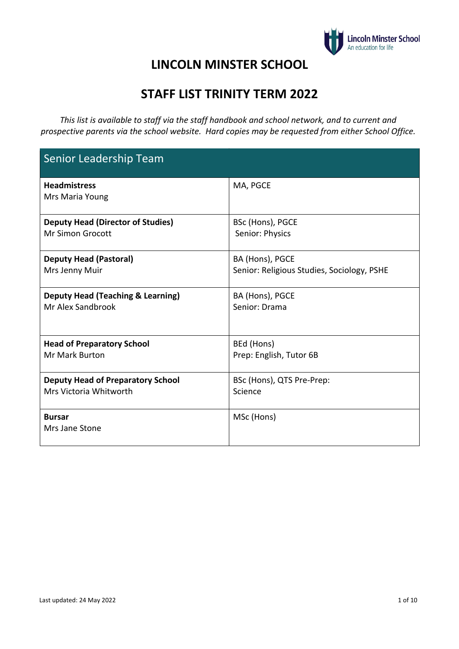

### **LINCOLN MINSTER SCHOOL**

## **STAFF LIST TRINITY TERM 2022**

*This list is available to staff via the staff handbook and school network, and to current and prospective parents via the school website. Hard copies may be requested from either School Office.* 

| Senior Leadership Team                       |                                            |
|----------------------------------------------|--------------------------------------------|
| <b>Headmistress</b><br>Mrs Maria Young       | MA, PGCE                                   |
| <b>Deputy Head (Director of Studies)</b>     | BSc (Hons), PGCE                           |
| <b>Mr Simon Grocott</b>                      | Senior: Physics                            |
| <b>Deputy Head (Pastoral)</b>                | BA (Hons), PGCE                            |
| Mrs Jenny Muir                               | Senior: Religious Studies, Sociology, PSHE |
| <b>Deputy Head (Teaching &amp; Learning)</b> | BA (Hons), PGCE                            |
| Mr Alex Sandbrook                            | Senior: Drama                              |
| <b>Head of Preparatory School</b>            | BEd (Hons)                                 |
| <b>Mr Mark Burton</b>                        | Prep: English, Tutor 6B                    |
| <b>Deputy Head of Preparatory School</b>     | BSc (Hons), QTS Pre-Prep:                  |
| Mrs Victoria Whitworth                       | Science                                    |
| <b>Bursar</b><br>Mrs Jane Stone              | MSc (Hons)                                 |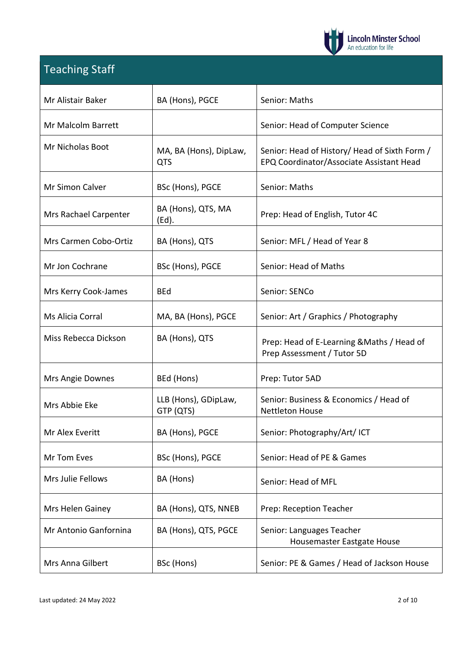

# Teaching Staff

| Mr Alistair Baker     | BA (Hons), PGCE                      | Senior: Maths                                                                             |
|-----------------------|--------------------------------------|-------------------------------------------------------------------------------------------|
| Mr Malcolm Barrett    |                                      | Senior: Head of Computer Science                                                          |
| Mr Nicholas Boot      | MA, BA (Hons), DipLaw,<br><b>QTS</b> | Senior: Head of History/ Head of Sixth Form /<br>EPQ Coordinator/Associate Assistant Head |
| Mr Simon Calver       | BSc (Hons), PGCE                     | Senior: Maths                                                                             |
| Mrs Rachael Carpenter | BA (Hons), QTS, MA<br>(Ed).          | Prep: Head of English, Tutor 4C                                                           |
| Mrs Carmen Cobo-Ortiz | BA (Hons), QTS                       | Senior: MFL / Head of Year 8                                                              |
| Mr Jon Cochrane       | BSc (Hons), PGCE                     | Senior: Head of Maths                                                                     |
| Mrs Kerry Cook-James  | <b>BEd</b>                           | Senior: SENCo                                                                             |
| Ms Alicia Corral      | MA, BA (Hons), PGCE                  | Senior: Art / Graphics / Photography                                                      |
| Miss Rebecca Dickson  | BA (Hons), QTS                       | Prep: Head of E-Learning & Maths / Head of<br>Prep Assessment / Tutor 5D                  |
| Mrs Angie Downes      | BEd (Hons)                           | Prep: Tutor 5AD                                                                           |
| Mrs Abbie Eke         | LLB (Hons), GDipLaw,<br>GTP (QTS)    | Senior: Business & Economics / Head of<br><b>Nettleton House</b>                          |
| Mr Alex Everitt       | BA (Hons), PGCE                      | Senior: Photography/Art/ ICT                                                              |
| Mr Tom Eves           | BSc (Hons), PGCE                     | Senior: Head of PE & Games                                                                |
| Mrs Julie Fellows     | BA (Hons)                            | Senior: Head of MFL                                                                       |
| Mrs Helen Gainey      | BA (Hons), QTS, NNEB                 | Prep: Reception Teacher                                                                   |
| Mr Antonio Ganfornina | BA (Hons), QTS, PGCE                 | Senior: Languages Teacher<br>Housemaster Eastgate House                                   |
| Mrs Anna Gilbert      | BSc (Hons)                           | Senior: PE & Games / Head of Jackson House                                                |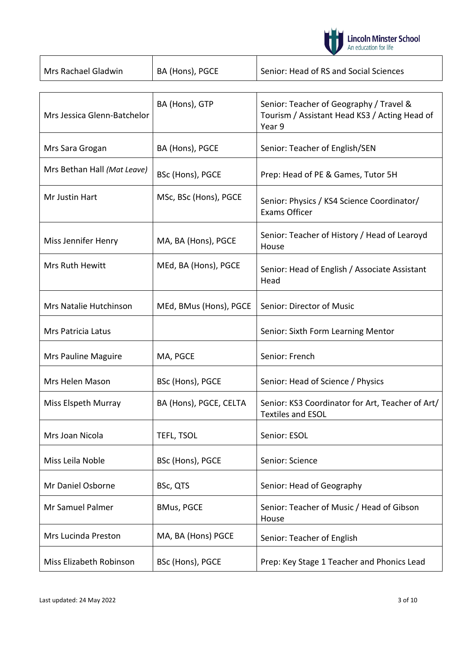

| Mrs Rachael Gladwin | BA (Hons), PGCE | Senior: Head of RS and Social Sciences |
|---------------------|-----------------|----------------------------------------|

| Mrs Jessica Glenn-Batchelor | BA (Hons), GTP         | Senior: Teacher of Geography / Travel &<br>Tourism / Assistant Head KS3 / Acting Head of<br>Year 9 |
|-----------------------------|------------------------|----------------------------------------------------------------------------------------------------|
| Mrs Sara Grogan             | BA (Hons), PGCE        | Senior: Teacher of English/SEN                                                                     |
| Mrs Bethan Hall (Mat Leave) | BSc (Hons), PGCE       | Prep: Head of PE & Games, Tutor 5H                                                                 |
| Mr Justin Hart              | MSc, BSc (Hons), PGCE  | Senior: Physics / KS4 Science Coordinator/<br><b>Exams Officer</b>                                 |
| Miss Jennifer Henry         | MA, BA (Hons), PGCE    | Senior: Teacher of History / Head of Learoyd<br>House                                              |
| Mrs Ruth Hewitt             | MEd, BA (Hons), PGCE   | Senior: Head of English / Associate Assistant<br>Head                                              |
| Mrs Natalie Hutchinson      | MEd, BMus (Hons), PGCE | Senior: Director of Music                                                                          |
| Mrs Patricia Latus          |                        | Senior: Sixth Form Learning Mentor                                                                 |
| Mrs Pauline Maguire         | MA, PGCE               | Senior: French                                                                                     |
| Mrs Helen Mason             | BSc (Hons), PGCE       | Senior: Head of Science / Physics                                                                  |
| Miss Elspeth Murray         | BA (Hons), PGCE, CELTA | Senior: KS3 Coordinator for Art, Teacher of Art/<br><b>Textiles and ESOL</b>                       |
| Mrs Joan Nicola             | TEFL, TSOL             | Senior: ESOL                                                                                       |
| Miss Leila Noble            | BSc (Hons), PGCE       | Senior: Science                                                                                    |
| Mr Daniel Osborne           | BSc, QTS               | Senior: Head of Geography                                                                          |
| Mr Samuel Palmer            | <b>BMus, PGCE</b>      | Senior: Teacher of Music / Head of Gibson<br>House                                                 |
| Mrs Lucinda Preston         | MA, BA (Hons) PGCE     | Senior: Teacher of English                                                                         |
| Miss Elizabeth Robinson     | BSc (Hons), PGCE       | Prep: Key Stage 1 Teacher and Phonics Lead                                                         |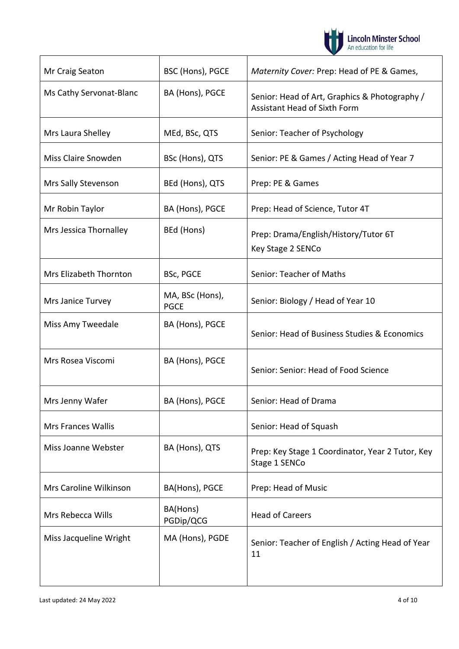

| Mr Craig Seaton           | BSC (Hons), PGCE               | Maternity Cover: Prep: Head of PE & Games,                                           |
|---------------------------|--------------------------------|--------------------------------------------------------------------------------------|
| Ms Cathy Servonat-Blanc   | BA (Hons), PGCE                | Senior: Head of Art, Graphics & Photography /<br><b>Assistant Head of Sixth Form</b> |
| Mrs Laura Shelley         | MEd, BSc, QTS                  | Senior: Teacher of Psychology                                                        |
| Miss Claire Snowden       | BSc (Hons), QTS                | Senior: PE & Games / Acting Head of Year 7                                           |
| Mrs Sally Stevenson       | BEd (Hons), QTS                | Prep: PE & Games                                                                     |
| Mr Robin Taylor           | BA (Hons), PGCE                | Prep: Head of Science, Tutor 4T                                                      |
| Mrs Jessica Thornalley    | BEd (Hons)                     | Prep: Drama/English/History/Tutor 6T<br>Key Stage 2 SENCo                            |
| Mrs Elizabeth Thornton    | BSc, PGCE                      | Senior: Teacher of Maths                                                             |
| Mrs Janice Turvey         | MA, BSc (Hons),<br><b>PGCE</b> | Senior: Biology / Head of Year 10                                                    |
| Miss Amy Tweedale         | BA (Hons), PGCE                | Senior: Head of Business Studies & Economics                                         |
| Mrs Rosea Viscomi         | BA (Hons), PGCE                | Senior: Senior: Head of Food Science                                                 |
| Mrs Jenny Wafer           | BA (Hons), PGCE                | Senior: Head of Drama                                                                |
| <b>Mrs Frances Wallis</b> |                                | Senior: Head of Squash                                                               |
| Miss Joanne Webster       | BA (Hons), QTS                 | Prep: Key Stage 1 Coordinator, Year 2 Tutor, Key<br>Stage 1 SENCo                    |
| Mrs Caroline Wilkinson    | BA(Hons), PGCE                 | Prep: Head of Music                                                                  |
| Mrs Rebecca Wills         | BA(Hons)<br>PGDip/QCG          | <b>Head of Careers</b>                                                               |
| Miss Jacqueline Wright    | MA (Hons), PGDE                | Senior: Teacher of English / Acting Head of Year<br>11                               |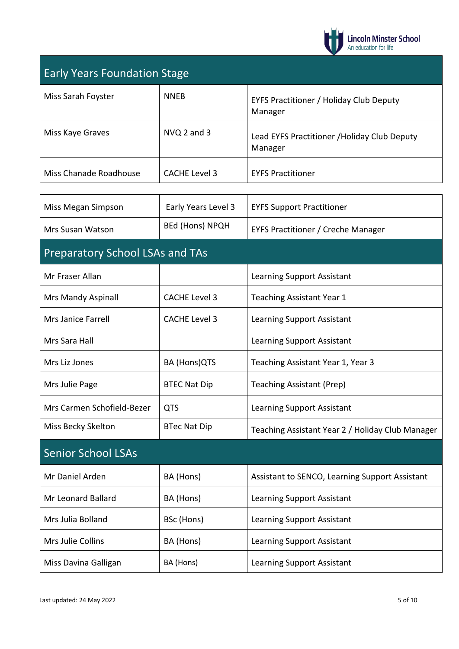

## Early Years Foundation Stage

| Miss Sarah Foyster     | <b>NNEB</b>   | EYFS Practitioner / Holiday Club Deputy<br>Manager      |
|------------------------|---------------|---------------------------------------------------------|
| Miss Kaye Graves       | NVQ 2 and 3   | Lead EYFS Practitioner / Holiday Club Deputy<br>Manager |
| Miss Chanade Roadhouse | CACHE Level 3 | <b>EYFS Practitioner</b>                                |

| Miss Megan Simpson                     | Early Years Level 3    | <b>EYFS Support Practitioner</b>                 |
|----------------------------------------|------------------------|--------------------------------------------------|
| Mrs Susan Watson                       | <b>BEd (Hons) NPQH</b> | <b>EYFS Practitioner / Creche Manager</b>        |
| <b>Preparatory School LSAs and TAs</b> |                        |                                                  |
| Mr Fraser Allan                        |                        | <b>Learning Support Assistant</b>                |
| Mrs Mandy Aspinall                     | <b>CACHE Level 3</b>   | Teaching Assistant Year 1                        |
| Mrs Janice Farrell                     | <b>CACHE Level 3</b>   | Learning Support Assistant                       |
| Mrs Sara Hall                          |                        | <b>Learning Support Assistant</b>                |
| Mrs Liz Jones                          | BA (Hons)QTS           | Teaching Assistant Year 1, Year 3                |
| Mrs Julie Page                         | <b>BTEC Nat Dip</b>    | <b>Teaching Assistant (Prep)</b>                 |
| Mrs Carmen Schofield-Bezer             | <b>QTS</b>             | <b>Learning Support Assistant</b>                |
| Miss Becky Skelton                     | <b>BTec Nat Dip</b>    | Teaching Assistant Year 2 / Holiday Club Manager |
| <b>Senior School LSAs</b>              |                        |                                                  |
| Mr Daniel Arden                        | BA (Hons)              | Assistant to SENCO, Learning Support Assistant   |
| Mr Leonard Ballard                     | BA (Hons)              | <b>Learning Support Assistant</b>                |
| Mrs Julia Bolland                      | BSc (Hons)             | <b>Learning Support Assistant</b>                |
| Mrs Julie Collins                      | BA (Hons)              | <b>Learning Support Assistant</b>                |
| Miss Davina Galligan                   | BA (Hons)              | <b>Learning Support Assistant</b>                |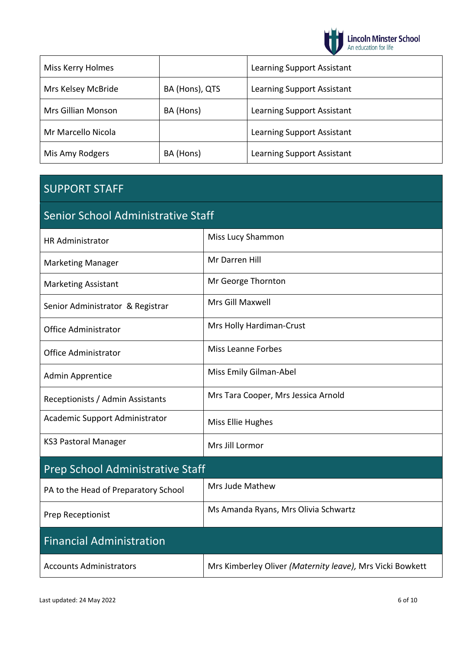

| Miss Kerry Holmes  |                | Learning Support Assistant |
|--------------------|----------------|----------------------------|
| Mrs Kelsey McBride | BA (Hons), QTS | Learning Support Assistant |
| Mrs Gillian Monson | BA (Hons)      | Learning Support Assistant |
| Mr Marcello Nicola |                | Learning Support Assistant |
| Mis Amy Rodgers    | BA (Hons)      | Learning Support Assistant |

### SUPPORT STAFF

# Senior School Administrative Staff

| <b>HR Administrator</b>              | Miss Lucy Shammon                                         |
|--------------------------------------|-----------------------------------------------------------|
| <b>Marketing Manager</b>             | Mr Darren Hill                                            |
| <b>Marketing Assistant</b>           | Mr George Thornton                                        |
| Senior Administrator & Registrar     | Mrs Gill Maxwell                                          |
| <b>Office Administrator</b>          | Mrs Holly Hardiman-Crust                                  |
| <b>Office Administrator</b>          | <b>Miss Leanne Forbes</b>                                 |
| <b>Admin Apprentice</b>              | Miss Emily Gilman-Abel                                    |
| Receptionists / Admin Assistants     | Mrs Tara Cooper, Mrs Jessica Arnold                       |
| Academic Support Administrator       | Miss Ellie Hughes                                         |
| <b>KS3 Pastoral Manager</b>          | Mrs Jill Lormor                                           |
| Prep School Administrative Staff     |                                                           |
| PA to the Head of Preparatory School | Mrs Jude Mathew                                           |
| Prep Receptionist                    | Ms Amanda Ryans, Mrs Olivia Schwartz                      |
| <b>Financial Administration</b>      |                                                           |
| <b>Accounts Administrators</b>       | Mrs Kimberley Oliver (Maternity leave), Mrs Vicki Bowkett |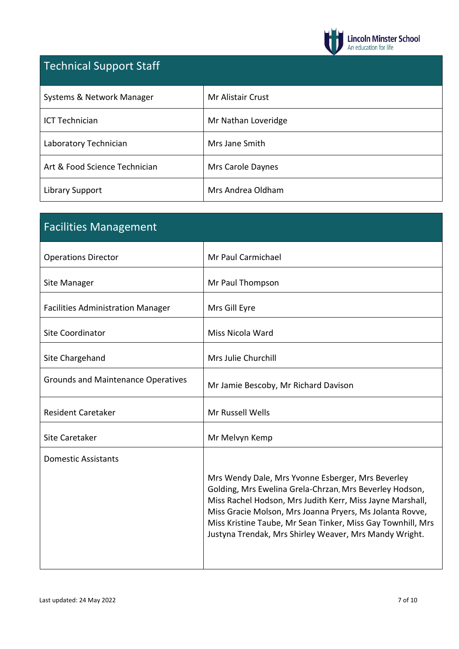

# Technical Support Staff

| Systems & Network Manager     | <b>Mr Alistair Crust</b> |
|-------------------------------|--------------------------|
| <b>ICT Technician</b>         | Mr Nathan Loveridge      |
| Laboratory Technician         | Mrs Jane Smith           |
| Art & Food Science Technician | Mrs Carole Daynes        |
| Library Support               | Mrs Andrea Oldham        |

| <b>Facilities Management</b>              |                                                                                                                                                                                                                                                                                                                                                                |
|-------------------------------------------|----------------------------------------------------------------------------------------------------------------------------------------------------------------------------------------------------------------------------------------------------------------------------------------------------------------------------------------------------------------|
| <b>Operations Director</b>                | Mr Paul Carmichael                                                                                                                                                                                                                                                                                                                                             |
| Site Manager                              | Mr Paul Thompson                                                                                                                                                                                                                                                                                                                                               |
| <b>Facilities Administration Manager</b>  | Mrs Gill Eyre                                                                                                                                                                                                                                                                                                                                                  |
| <b>Site Coordinator</b>                   | Miss Nicola Ward                                                                                                                                                                                                                                                                                                                                               |
| Site Chargehand                           | Mrs Julie Churchill                                                                                                                                                                                                                                                                                                                                            |
| <b>Grounds and Maintenance Operatives</b> | Mr Jamie Bescoby, Mr Richard Davison                                                                                                                                                                                                                                                                                                                           |
| <b>Resident Caretaker</b>                 | Mr Russell Wells                                                                                                                                                                                                                                                                                                                                               |
| Site Caretaker                            | Mr Melvyn Kemp                                                                                                                                                                                                                                                                                                                                                 |
| <b>Domestic Assistants</b>                | Mrs Wendy Dale, Mrs Yvonne Esberger, Mrs Beverley<br>Golding, Mrs Ewelina Grela-Chrzan, Mrs Beverley Hodson,<br>Miss Rachel Hodson, Mrs Judith Kerr, Miss Jayne Marshall,<br>Miss Gracie Molson, Mrs Joanna Pryers, Ms Jolanta Rovve,<br>Miss Kristine Taube, Mr Sean Tinker, Miss Gay Townhill, Mrs<br>Justyna Trendak, Mrs Shirley Weaver, Mrs Mandy Wright. |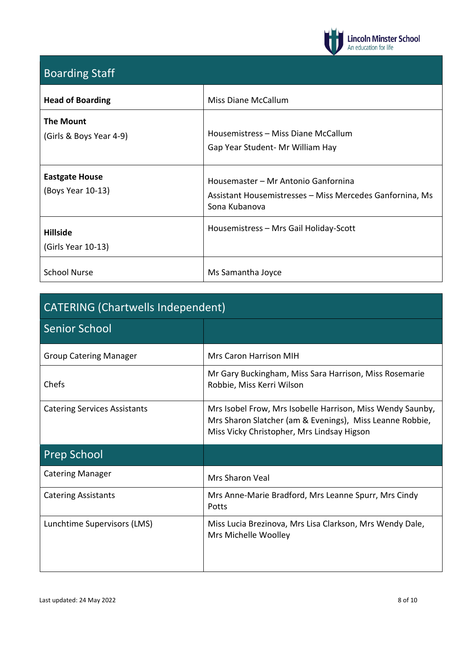

## Boarding Staff

| <b>Head of Boarding</b>                     | Miss Diane McCallum                                                                                              |
|---------------------------------------------|------------------------------------------------------------------------------------------------------------------|
| <b>The Mount</b><br>(Girls & Boys Year 4-9) | Housemistress – Miss Diane McCallum<br>Gap Year Student - Mr William Hay                                         |
| <b>Eastgate House</b><br>(Boys Year 10-13)  | Housemaster - Mr Antonio Ganfornina<br>Assistant Housemistresses - Miss Mercedes Ganfornina, Ms<br>Sona Kubanova |
| <b>Hillside</b><br>(Girls Year 10-13)       | Housemistress - Mrs Gail Holiday-Scott                                                                           |
| <b>School Nurse</b>                         | Ms Samantha Joyce                                                                                                |

| <b>CATERING (Chartwells Independent)</b> |                                                                                                                                                                      |  |
|------------------------------------------|----------------------------------------------------------------------------------------------------------------------------------------------------------------------|--|
| <b>Senior School</b>                     |                                                                                                                                                                      |  |
| <b>Group Catering Manager</b>            | <b>Mrs Caron Harrison MIH</b>                                                                                                                                        |  |
| Chefs                                    | Mr Gary Buckingham, Miss Sara Harrison, Miss Rosemarie<br>Robbie, Miss Kerri Wilson                                                                                  |  |
| <b>Catering Services Assistants</b>      | Mrs Isobel Frow, Mrs Isobelle Harrison, Miss Wendy Saunby,<br>Mrs Sharon Slatcher (am & Evenings), Miss Leanne Robbie,<br>Miss Vicky Christopher, Mrs Lindsay Higson |  |
| <b>Prep School</b>                       |                                                                                                                                                                      |  |
| <b>Catering Manager</b>                  | <b>Mrs Sharon Veal</b>                                                                                                                                               |  |
| <b>Catering Assistants</b>               | Mrs Anne-Marie Bradford, Mrs Leanne Spurr, Mrs Cindy<br>Potts                                                                                                        |  |
| Lunchtime Supervisors (LMS)              | Miss Lucia Brezinova, Mrs Lisa Clarkson, Mrs Wendy Dale,<br>Mrs Michelle Woolley                                                                                     |  |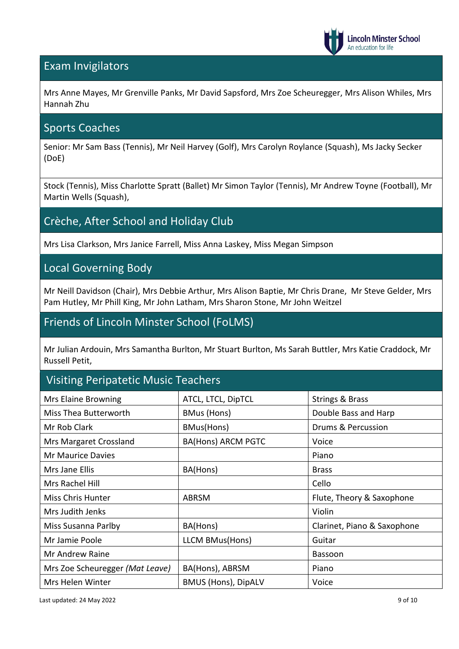

### Exam Invigilators

Mrs Anne Mayes, Mr Grenville Panks, Mr David Sapsford, Mrs Zoe Scheuregger, Mrs Alison Whiles, Mrs Hannah Zhu

#### Sports Coaches

Senior: Mr Sam Bass (Tennis), Mr Neil Harvey (Golf), Mrs Carolyn Roylance (Squash), Ms Jacky Secker (DoE)

Stock (Tennis), Miss Charlotte Spratt (Ballet) Mr Simon Taylor (Tennis), Mr Andrew Toyne (Football), Mr Martin Wells (Squash),

### Crèche, After School and Holiday Club

Mrs Lisa Clarkson, Mrs Janice Farrell, Miss Anna Laskey, Miss Megan Simpson

#### Local Governing Body

Mr Neill Davidson (Chair), Mrs Debbie Arthur, Mrs Alison Baptie, Mr Chris Drane, Mr Steve Gelder, Mrs Pam Hutley, Mr Phill King, Mr John Latham, Mrs Sharon Stone, Mr John Weitzel

### Friends of Lincoln Minster School (FoLMS)

Mr Julian Ardouin, Mrs Samantha Burlton, Mr Stuart Burlton, Ms Sarah Buttler, Mrs Katie Craddock, Mr Russell Petit,

### Visiting Peripatetic Music Teachers

| Mrs Elaine Browning             | ATCL, LTCL, DipTCL         | <b>Strings &amp; Brass</b>  |
|---------------------------------|----------------------------|-----------------------------|
| Miss Thea Butterworth           | <b>BMus (Hons)</b>         | Double Bass and Harp        |
| Mr Rob Clark                    | BMus(Hons)                 | Drums & Percussion          |
| Mrs Margaret Crossland          | <b>BA(Hons) ARCM PGTC</b>  | Voice                       |
| Mr Maurice Davies               |                            | Piano                       |
| Mrs Jane Ellis                  | BA(Hons)                   | <b>Brass</b>                |
| Mrs Rachel Hill                 |                            | Cello                       |
| <b>Miss Chris Hunter</b>        | <b>ABRSM</b>               | Flute, Theory & Saxophone   |
| Mrs Judith Jenks                |                            | Violin                      |
| Miss Susanna Parlby             | BA(Hons)                   | Clarinet, Piano & Saxophone |
| Mr Jamie Poole                  | LLCM BMus(Hons)            | Guitar                      |
| Mr Andrew Raine                 |                            | Bassoon                     |
| Mrs Zoe Scheuregger (Mat Leave) | BA(Hons), ABRSM            | Piano                       |
| Mrs Helen Winter                | <b>BMUS (Hons), DipALV</b> | Voice                       |

Last updated: 24 May 2022 9 of 10